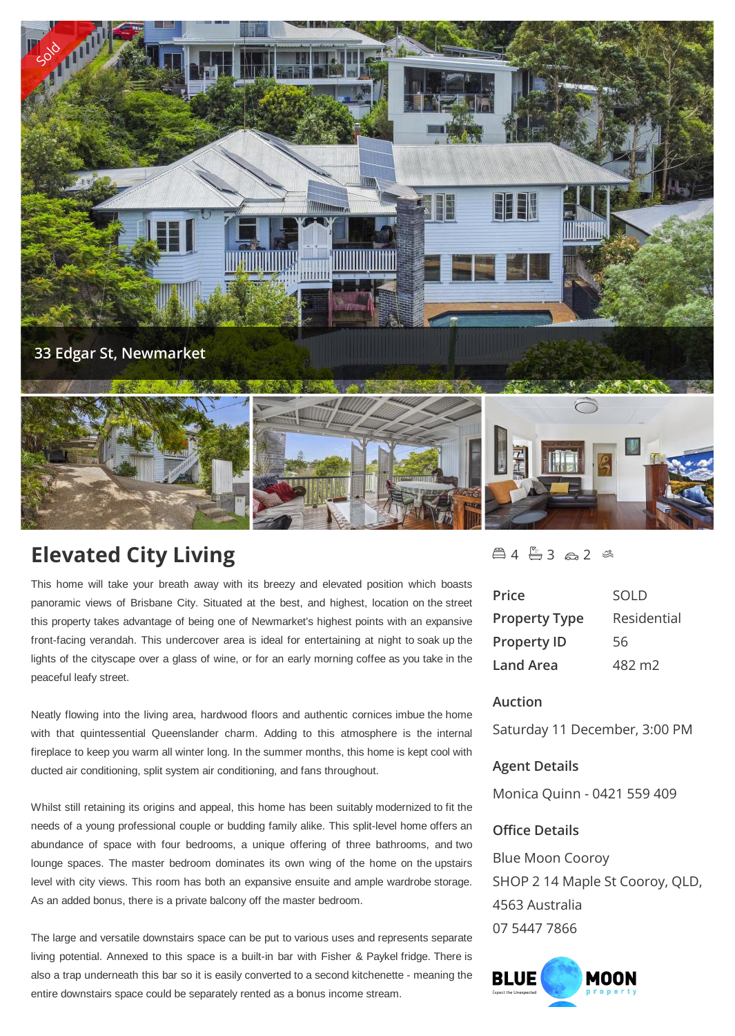

# **Elevated City Living**

This home will take your breath away with its breezy and elevated position which boasts panoramic views of Brisbane City. Situated at the best, and highest, location on the street this property takes advantage of being one of Newmarket's highest points with an expansive front-facing verandah. This undercover area is ideal for entertaining at night to soak up the lights of the cityscape over a glass of wine, or for an early morning coffee as you take in the peaceful leafy street.

Neatly flowing into the living area, hardwood floors and authentic cornices imbue the home with that quintessential Queenslander charm. Adding to this atmosphere is the internal fireplace to keep you warm all winter long. In the summer months, this home is kept cool with ducted air conditioning, split system air conditioning, and fans throughout.

Whilst still retaining its origins and appeal, this home has been suitably modernized to fit the needs of a young professional couple or budding family alike. This split-level home offers an abundance of space with four bedrooms, a unique offering of three bathrooms, and two lounge spaces. The master bedroom dominates its own wing of the home on the upstairs level with city views. This room has both an expansive ensuite and ample wardrobe storage. As an added bonus, there is a private balcony off the master bedroom.

The large and versatile downstairs space can be put to various uses and represents separate living potential. Annexed to this space is a built-in bar with Fisher & Paykel fridge. There is also a trap underneath this bar so it is easily converted to a second kitchenette - meaning the entire downstairs space could be separately rented as a bonus income stream.

# $4 - 3 - 2$

| Price                | <b>SOLD</b>        |
|----------------------|--------------------|
| <b>Property Type</b> | Residential        |
| <b>Property ID</b>   | 56                 |
| Land Area            | 482 m <sub>2</sub> |

# **Auction**

Saturday 11 December, 3:00 PM

# **Agent Details**

Monica Quinn - 0421 559 409

## **Office Details**

Blue Moon Cooroy SHOP 2 14 Maple St Cooroy, QLD, 4563 Australia 07 5447 7866

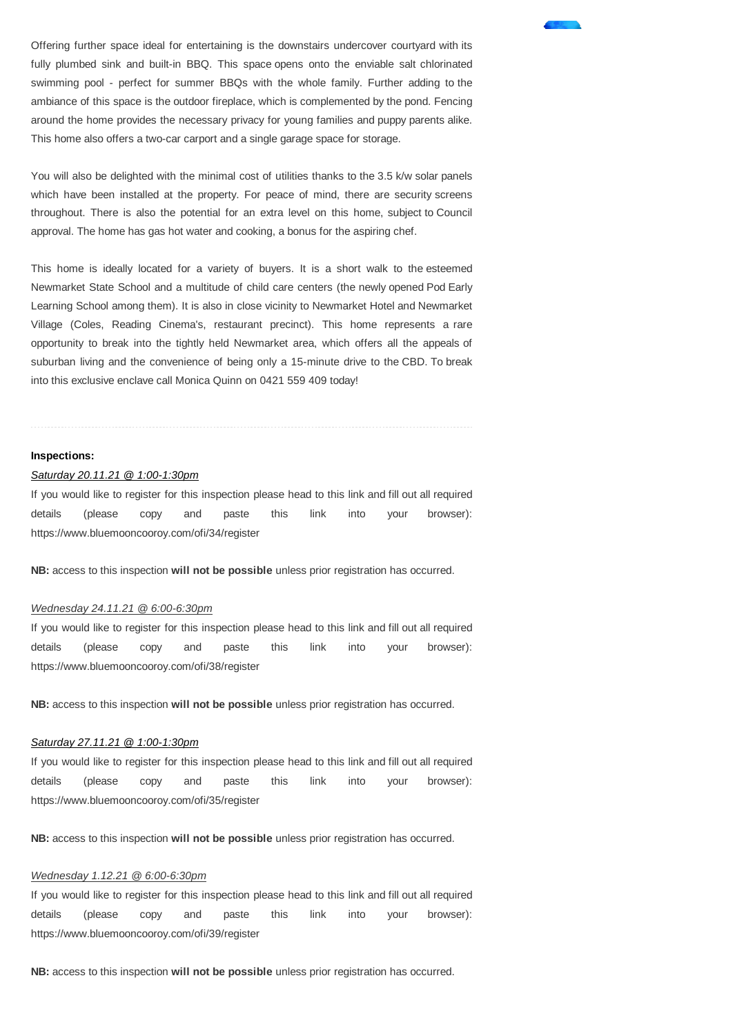Offering further space ideal for entertaining is the downstairs undercover courtyard with its fully plumbed sink and built-in BBQ. This space opens onto the enviable salt chlorinated swimming pool - perfect for summer BBQs with the whole family. Further adding to the ambiance of this space is the outdoor fireplace, which is complemented by the pond. Fencing around the home provides the necessary privacy for young families and puppy parents alike. This home also offers a two-car carport and a single garage space for storage.

You will also be delighted with the minimal cost of utilities thanks to the 3.5 k/w solar panels which have been installed at the property. For peace of mind, there are security screens throughout. There is also the potential for an extra level on this home, subject to Council approval. The home has gas hot water and cooking, a bonus for the aspiring chef.

This home is ideally located for a variety of buyers. It is a short walk to the esteemed Newmarket State School and a multitude of child care centers (the newly opened Pod Early Learning School among them). It is also in close vicinity to Newmarket Hotel and Newmarket Village (Coles, Reading Cinema's, restaurant precinct). This home represents a rare opportunity to break into the tightly held Newmarket area, which offers all the appeals of suburban living and the convenience of being only a 15-minute drive to the CBD. To break into this exclusive enclave call Monica Quinn on 0421 559 409 today!

#### **Inspections:**

#### *Saturday 20.11.21 @ 1:00-1:30pm*

If you would like to register for this inspection please head to this link and fill out all required details (please copy and paste this link into your browser): https://www.bluemooncooroy.com/ofi/34/register

**NB:** access to this inspection **will not be possible** unless prior registration has occurred.

#### *Wednesday 24.11.21 @ 6:00-6:30pm*

If you would like to register for this inspection please head to this link and fill out all required details (please copy and paste this link into your browser): https://www.bluemooncooroy.com/ofi/38/register

**NB:** access to this inspection **will not be possible** unless prior registration has occurred.

#### *Saturday 27.11.21 @ 1:00-1:30pm*

If you would like to register for this inspection please head to this link and fill out all required details (please copy and paste this link into your browser): https://www.bluemooncooroy.com/ofi/35/register

**NB:** access to this inspection **will not be possible** unless prior registration has occurred.

#### *Wednesday 1.12.21 @ 6:00-6:30pm*

If you would like to register for this inspection please head to this link and fill out all required details (please copy and paste this link into your browser): https://www.bluemooncooroy.com/ofi/39/register

**NB:** access to this inspection **will not be possible** unless prior registration has occurred.